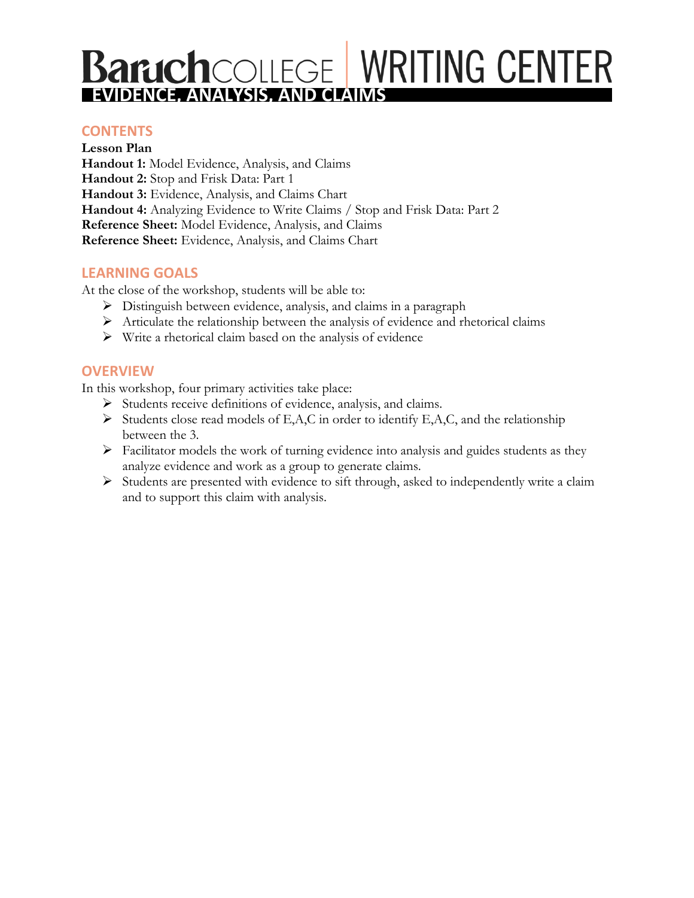# **Baruch**COLLEGE WRITING CENTER

#### **WORKSHOP CONTENTS**

**Lesson Plan Handout 1:** Model Evidence, Analysis, and Claims **Handout 2:** Stop and Frisk Data: Part 1 **Handout 3:** Evidence, Analysis, and Claims Chart **Handout 4:** Analyzing Evidence to Write Claims / Stop and Frisk Data: Part 2 **Reference Sheet:** Model Evidence, Analysis, and Claims **Reference Sheet:** Evidence, Analysis, and Claims Chart

#### **LEARNING GOALS**

At the close of the workshop, students will be able to:

- ➢ Distinguish between evidence, analysis, and claims in a paragraph
- $\triangleright$  Articulate the relationship between the analysis of evidence and rhetorical claims
- $\triangleright$  Write a rhetorical claim based on the analysis of evidence

#### **OVERVIEW**

In this workshop, four primary activities take place:

- ➢ Students receive definitions of evidence, analysis, and claims.
- $\triangleright$  Students close read models of E,A,C in order to identify E,A,C, and the relationship between the 3.
- ➢ Facilitator models the work of turning evidence into analysis and guides students as they analyze evidence and work as a group to generate claims.
- ➢ Students are presented with evidence to sift through, asked to independently write a claim and to support this claim with analysis.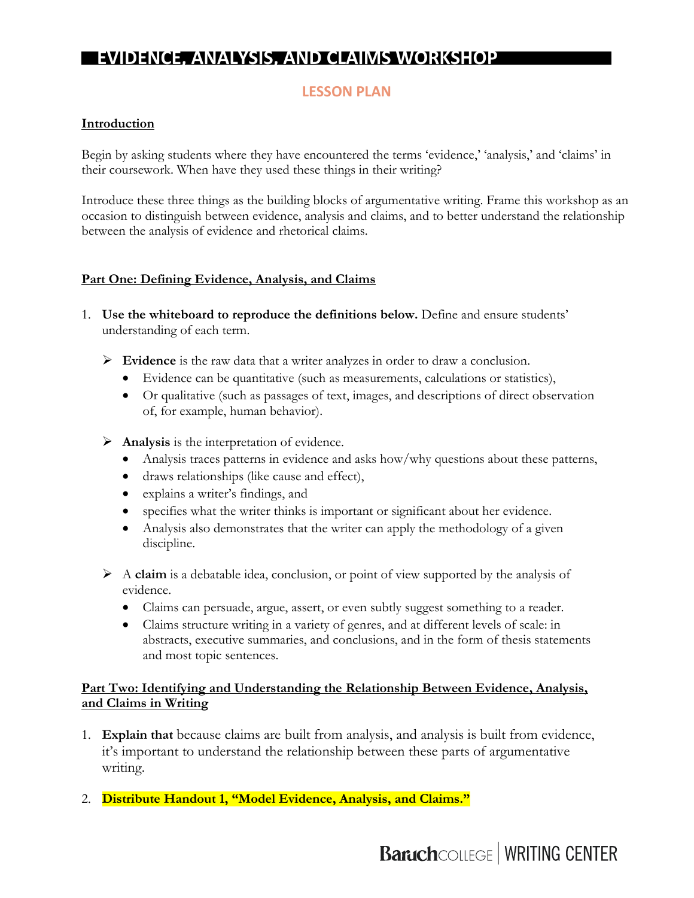## **LESSON PLAN**

#### **Introduction**

Begin by asking students where they have encountered the terms 'evidence,' 'analysis,' and 'claims' in their coursework. When have they used these things in their writing?

Introduce these three things as the building blocks of argumentative writing. Frame this workshop as an occasion to distinguish between evidence, analysis and claims, and to better understand the relationship between the analysis of evidence and rhetorical claims.

#### **Part One: Defining Evidence, Analysis, and Claims**

- 1. **Use the whiteboard to reproduce the definitions below.** Define and ensure students' understanding of each term.
	- ➢ **Evidence** is the raw data that a writer analyzes in order to draw a conclusion.
		- Evidence can be quantitative (such as measurements, calculations or statistics),
		- Or qualitative (such as passages of text, images, and descriptions of direct observation of, for example, human behavior).
	- ➢ **Analysis** is the interpretation of evidence.
		- Analysis traces patterns in evidence and asks how/why questions about these patterns,
		- draws relationships (like cause and effect),
		- explains a writer's findings, and
		- specifies what the writer thinks is important or significant about her evidence.
		- Analysis also demonstrates that the writer can apply the methodology of a given discipline.
	- ➢ A **claim** is a debatable idea, conclusion, or point of view supported by the analysis of evidence.
		- Claims can persuade, argue, assert, or even subtly suggest something to a reader.
		- Claims structure writing in a variety of genres, and at different levels of scale: in abstracts, executive summaries, and conclusions, and in the form of thesis statements and most topic sentences.

#### **Part Two: Identifying and Understanding the Relationship Between Evidence, Analysis, and Claims in Writing**

- 1. **Explain that** because claims are built from analysis, and analysis is built from evidence, it's important to understand the relationship between these parts of argumentative writing.
- 2. **Distribute Handout 1, "Model Evidence, Analysis, and Claims."**

# **Baruch**COLLEGE | WRITING CENTER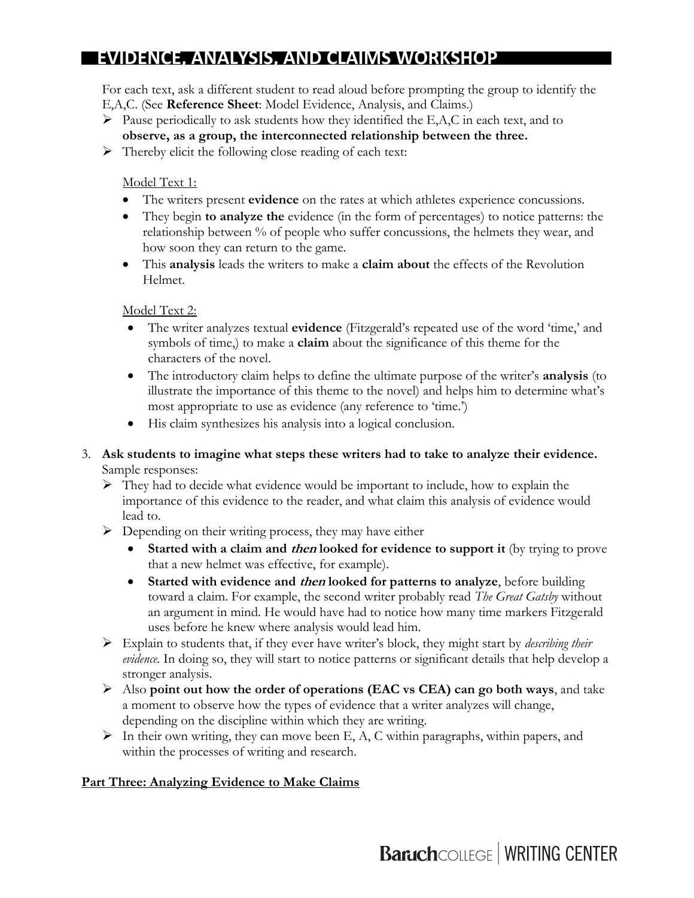For each text, ask a different student to read aloud before prompting the group to identify the E,A,C. (See **Reference Sheet**: Model Evidence, Analysis, and Claims.)

- $\triangleright$  Pause periodically to ask students how they identified the E,A,C in each text, and to **observe, as a group, the interconnected relationship between the three.**
- ➢ Thereby elicit the following close reading of each text:

Model Text 1:

- The writers present **evidence** on the rates at which athletes experience concussions.
- They begin **to analyze the** evidence (in the form of percentages) to notice patterns: the relationship between % of people who suffer concussions, the helmets they wear, and how soon they can return to the game.
- This **analysis** leads the writers to make a **claim about** the effects of the Revolution Helmet.

Model Text 2:

- The writer analyzes textual **evidence** (Fitzgerald's repeated use of the word 'time,' and symbols of time,) to make a **claim** about the significance of this theme for the characters of the novel.
- The introductory claim helps to define the ultimate purpose of the writer's **analysis** (to illustrate the importance of this theme to the novel) and helps him to determine what's most appropriate to use as evidence (any reference to 'time.')
- His claim synthesizes his analysis into a logical conclusion.
- 3. **Ask students to imagine what steps these writers had to take to analyze their evidence.** Sample responses:
	- ➢ They had to decide what evidence would be important to include, how to explain the importance of this evidence to the reader, and what claim this analysis of evidence would lead to.
	- $\triangleright$  Depending on their writing process, they may have either
		- **Started with a claim and then looked for evidence to support it** (by trying to prove that a new helmet was effective, for example).
		- **Started with evidence and then looked for patterns to analyze**, before building toward a claim. For example, the second writer probably read *The Great Gatsby* without an argument in mind. He would have had to notice how many time markers Fitzgerald uses before he knew where analysis would lead him.
	- ➢ Explain to students that, if they ever have writer's block, they might start by *describing their evidence.* In doing so, they will start to notice patterns or significant details that help develop a stronger analysis.
	- ➢ Also **point out how the order of operations (EAC vs CEA) can go both ways**, and take a moment to observe how the types of evidence that a writer analyzes will change, depending on the discipline within which they are writing.
	- $\triangleright$  In their own writing, they can move been E, A, C within paragraphs, within papers, and within the processes of writing and research.

#### **Part Three: Analyzing Evidence to Make Claims**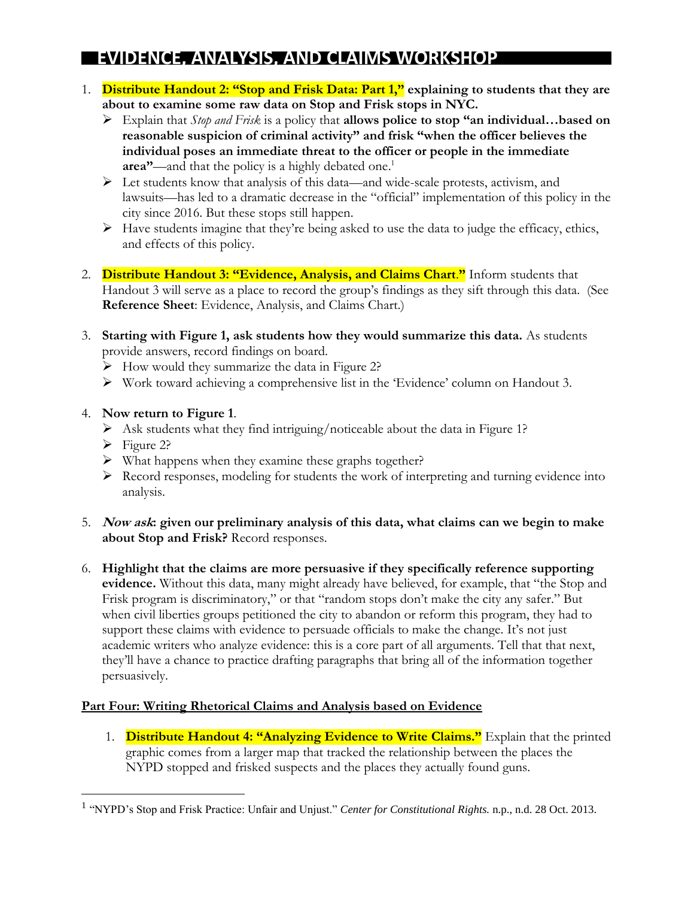- 1. **Distribute Handout 2: "Stop and Frisk Data: Part 1," explaining to students that they are about to examine some raw data on Stop and Frisk stops in NYC.**
	- ➢ Explain that *Stop and Frisk* is a policy that **allows police to stop "an individual…based on reasonable suspicion of criminal activity" and frisk "when the officer believes the individual poses an immediate threat to the officer or people in the immediate area"**—and that the policy is a highly debated one. 1
	- ➢ Let students know that analysis of this data—and wide-scale protests, activism, and lawsuits—has led to a dramatic decrease in the "official" implementation of this policy in the city since 2016. But these stops still happen.
	- ➢ Have students imagine that they're being asked to use the data to judge the efficacy, ethics, and effects of this policy.
- 2. **Distribute Handout 3: "Evidence, Analysis, and Claims Chart**.**"** Inform students that Handout 3 will serve as a place to record the group's findings as they sift through this data. (See **Reference Sheet**: Evidence, Analysis, and Claims Chart.)
- 3. **Starting with Figure 1, ask students how they would summarize this data.** As students provide answers, record findings on board.
	- ➢ How would they summarize the data in Figure 2?
	- ➢ Work toward achieving a comprehensive list in the 'Evidence' column on Handout 3.

#### 4. **Now return to Figure 1**.

- $\triangleright$  Ask students what they find intriguing/noticeable about the data in Figure 1?
- ➢ Figure 2?

 $\overline{a}$ 

- ➢ What happens when they examine these graphs together?
- ➢ Record responses, modeling for students the work of interpreting and turning evidence into analysis.
- 5. **Now ask: given our preliminary analysis of this data, what claims can we begin to make about Stop and Frisk?** Record responses.
- 6. **Highlight that the claims are more persuasive if they specifically reference supporting evidence.** Without this data, many might already have believed, for example, that "the Stop and Frisk program is discriminatory," or that "random stops don't make the city any safer." But when civil liberties groups petitioned the city to abandon or reform this program, they had to support these claims with evidence to persuade officials to make the change. It's not just academic writers who analyze evidence: this is a core part of all arguments. Tell that that next, they'll have a chance to practice drafting paragraphs that bring all of the information together persuasively.

#### **Part Four: Writing Rhetorical Claims and Analysis based on Evidence**

1. **Distribute Handout 4: "Analyzing Evidence to Write Claims."** Explain that the printed graphic comes from a larger map that tracked the relationship between the places the NYPD stopped and frisked suspects and the places they actually found guns.

<sup>1</sup> "NYPD's Stop and Frisk Practice: Unfair and Unjust." *Center for Constitutional Rights.* n.p., n.d. 28 Oct. 2013.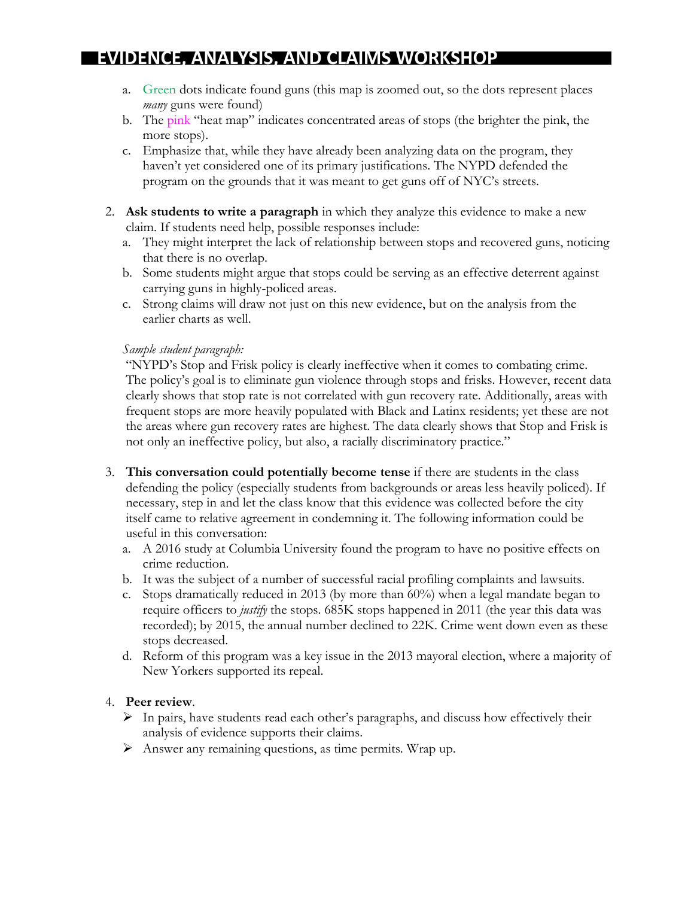- a. Green dots indicate found guns (this map is zoomed out, so the dots represent places *many* guns were found)
- b. The pink "heat map" indicates concentrated areas of stops (the brighter the pink, the more stops).
- c. Emphasize that, while they have already been analyzing data on the program, they haven't yet considered one of its primary justifications. The NYPD defended the program on the grounds that it was meant to get guns off of NYC's streets.
- 2. **Ask students to write a paragraph** in which they analyze this evidence to make a new claim. If students need help, possible responses include:
	- a. They might interpret the lack of relationship between stops and recovered guns, noticing that there is no overlap.
	- b. Some students might argue that stops could be serving as an effective deterrent against carrying guns in highly-policed areas.
	- c. Strong claims will draw not just on this new evidence, but on the analysis from the earlier charts as well.

#### *Sample student paragraph:*

"NYPD's Stop and Frisk policy is clearly ineffective when it comes to combating crime. The policy's goal is to eliminate gun violence through stops and frisks. However, recent data clearly shows that stop rate is not correlated with gun recovery rate. Additionally, areas with frequent stops are more heavily populated with Black and Latinx residents; yet these are not the areas where gun recovery rates are highest. The data clearly shows that Stop and Frisk is not only an ineffective policy, but also, a racially discriminatory practice."

- 3. **This conversation could potentially become tense** if there are students in the class defending the policy (especially students from backgrounds or areas less heavily policed). If necessary, step in and let the class know that this evidence was collected before the city itself came to relative agreement in condemning it. The following information could be useful in this conversation:
	- a. A 2016 study at Columbia University found the program to have no positive effects on crime reduction.
	- b. It was the subject of a number of successful racial profiling complaints and lawsuits.
	- c. Stops dramatically reduced in 2013 (by more than 60%) when a legal mandate began to require officers to *justify* the stops. 685K stops happened in 2011 (the year this data was recorded); by 2015, the annual number declined to 22K. Crime went down even as these stops decreased.
	- d. Reform of this program was a key issue in the 2013 mayoral election, where a majority of New Yorkers supported its repeal.

#### 4. **Peer review**.

- $\triangleright$  In pairs, have students read each other's paragraphs, and discuss how effectively their analysis of evidence supports their claims.
- ➢ Answer any remaining questions, as time permits. Wrap up.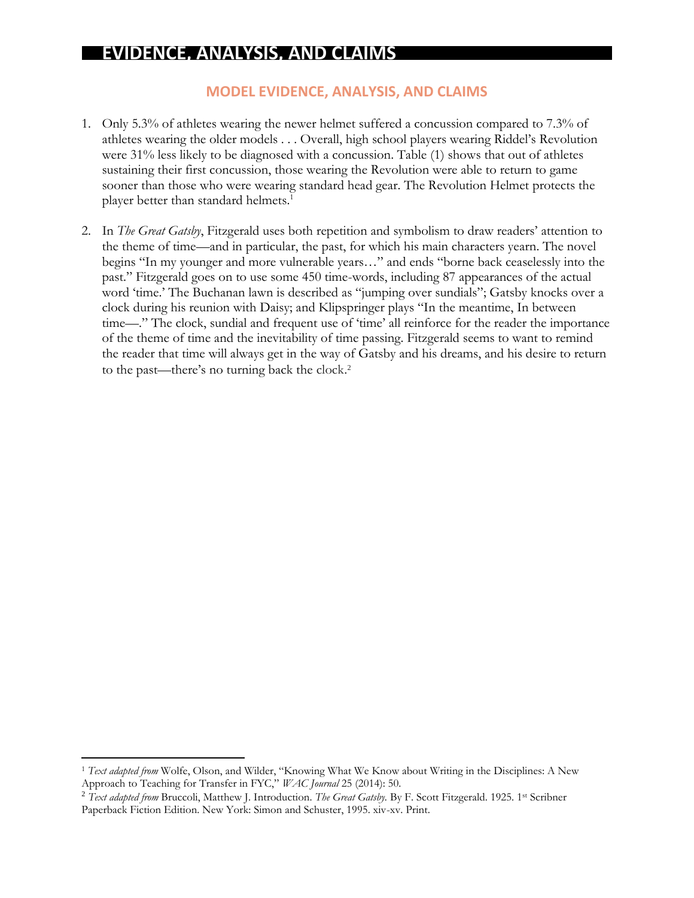## **EVIDENCE, ANALYSIS, AND CLAIMS**

#### **MODEL EVIDENCE, ANALYSIS, AND CLAIMS**

- 1. Only 5.3% of athletes wearing the newer helmet suffered a concussion compared to 7.3% of athletes wearing the older models . . . Overall, high school players wearing Riddel's Revolution were 31% less likely to be diagnosed with a concussion. Table (1) shows that out of athletes sustaining their first concussion, those wearing the Revolution were able to return to game sooner than those who were wearing standard head gear. The Revolution Helmet protects the player better than standard helmets.<sup>1</sup>
- 2. In *The Great Gatsby*, Fitzgerald uses both repetition and symbolism to draw readers' attention to the theme of time—and in particular, the past, for which his main characters yearn. The novel begins "In my younger and more vulnerable years…" and ends "borne back ceaselessly into the past." Fitzgerald goes on to use some 450 time-words, including 87 appearances of the actual word 'time.' The Buchanan lawn is described as "jumping over sundials"; Gatsby knocks over a clock during his reunion with Daisy; and Klipspringer plays "In the meantime, In between time—." The clock, sundial and frequent use of 'time' all reinforce for the reader the importance of the theme of time and the inevitability of time passing. Fitzgerald seems to want to remind the reader that time will always get in the way of Gatsby and his dreams, and his desire to return to the past—there's no turning back the clock. 2

 $\overline{a}$ 

<sup>1</sup> *Text adapted from* Wolfe, Olson, and Wilder, "Knowing What We Know about Writing in the Disciplines: A New Approach to Teaching for Transfer in FYC," *WAC Journal* 25 (2014): 50.

<sup>2</sup> *Text adapted from* Bruccoli, Matthew J. Introduction. *The Great Gatsby.* By F. Scott Fitzgerald. 1925. 1st Scribner Paperback Fiction Edition. New York: Simon and Schuster, 1995. xiv-xv. Print.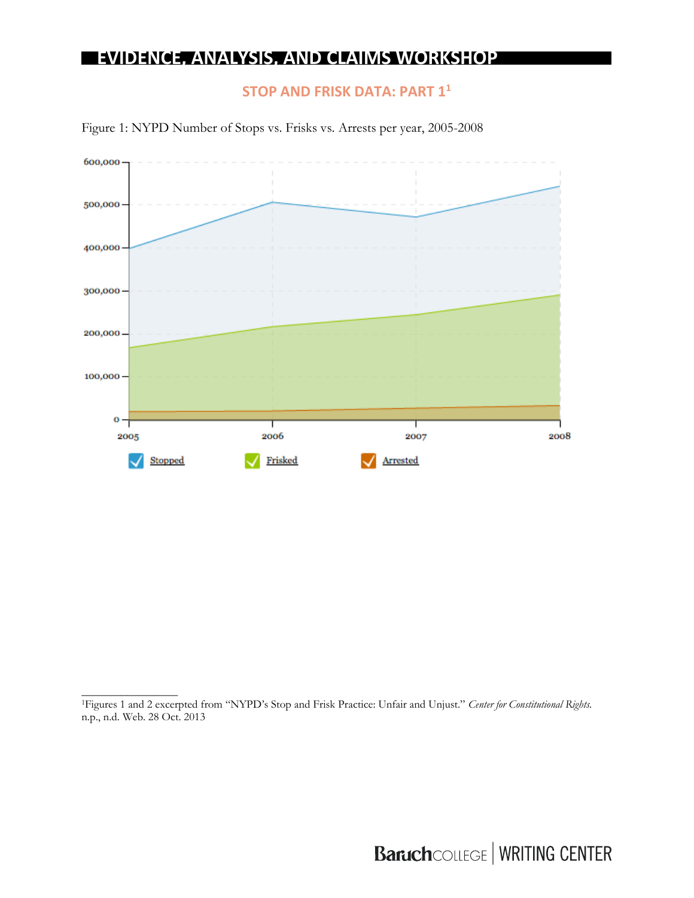## **STOP AND FRISK DATA: PART 1<sup>1</sup>**



Figure 1: NYPD Number of Stops vs. Frisks vs. Arrests per year, 2005-2008

\_\_\_\_\_\_\_\_\_\_\_\_\_\_\_\_\_

<sup>1</sup>Figures 1 and 2 excerpted from "NYPD's Stop and Frisk Practice: Unfair and Unjust." *Center for Constitutional Rights.*  n.p., n.d. Web. 28 Oct. 2013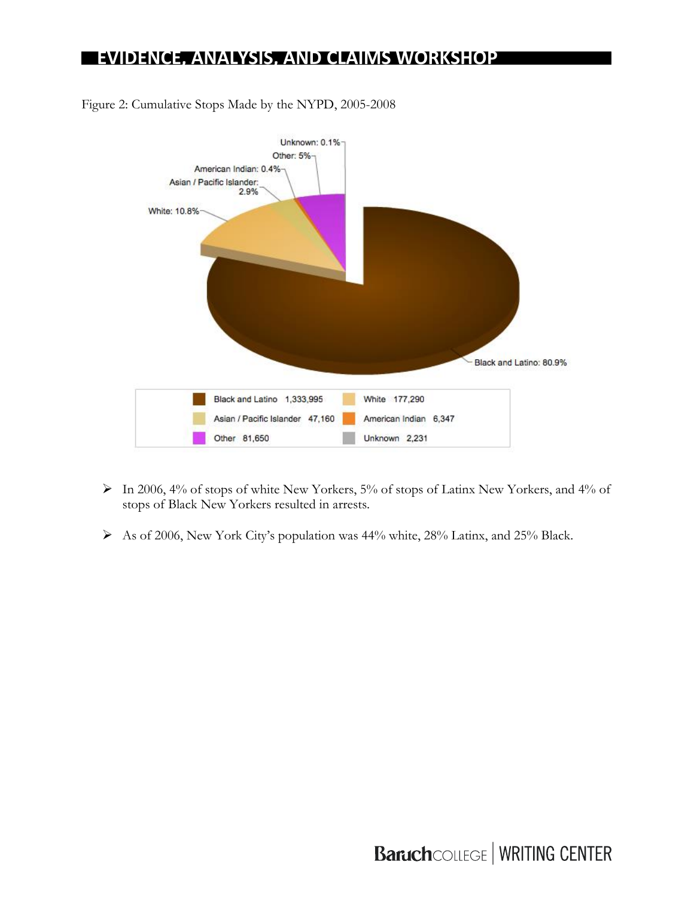

Figure 2: Cumulative Stops Made by the NYPD, 2005-2008

- ➢ In 2006, 4% of stops of white New Yorkers, 5% of stops of Latinx New Yorkers, and 4% of stops of Black New Yorkers resulted in arrests.
- ➢ As of 2006, New York City's population was 44% white, 28% Latinx, and 25% Black.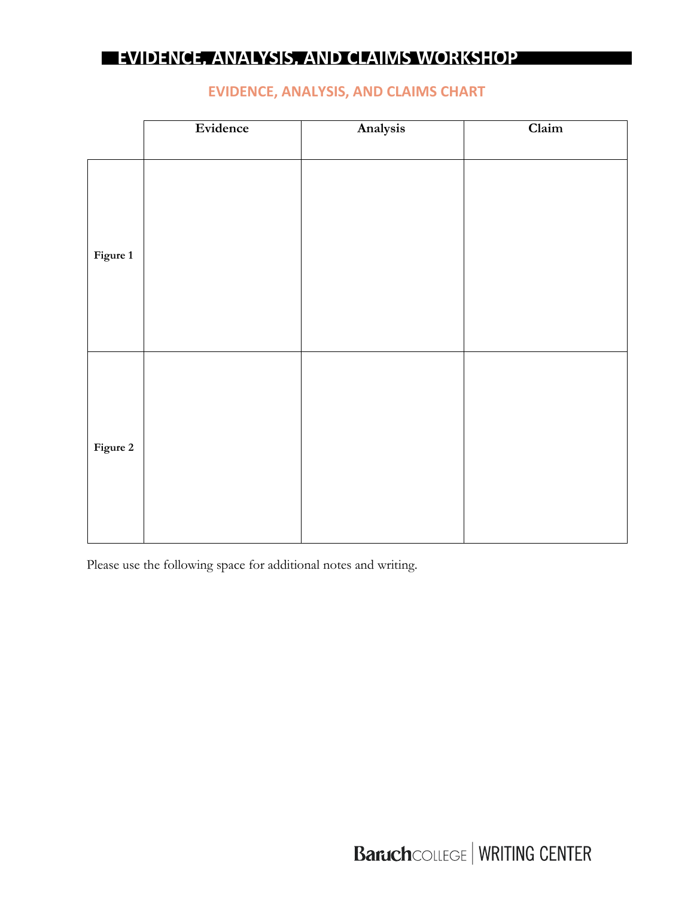|          | Evidence | Analysis | Claim |
|----------|----------|----------|-------|
|          |          |          |       |
| Figure 1 |          |          |       |
| Figure 2 |          |          |       |

### **EVIDENCE, ANALYSIS, AND CLAIMS CHART**

Please use the following space for additional notes and writing.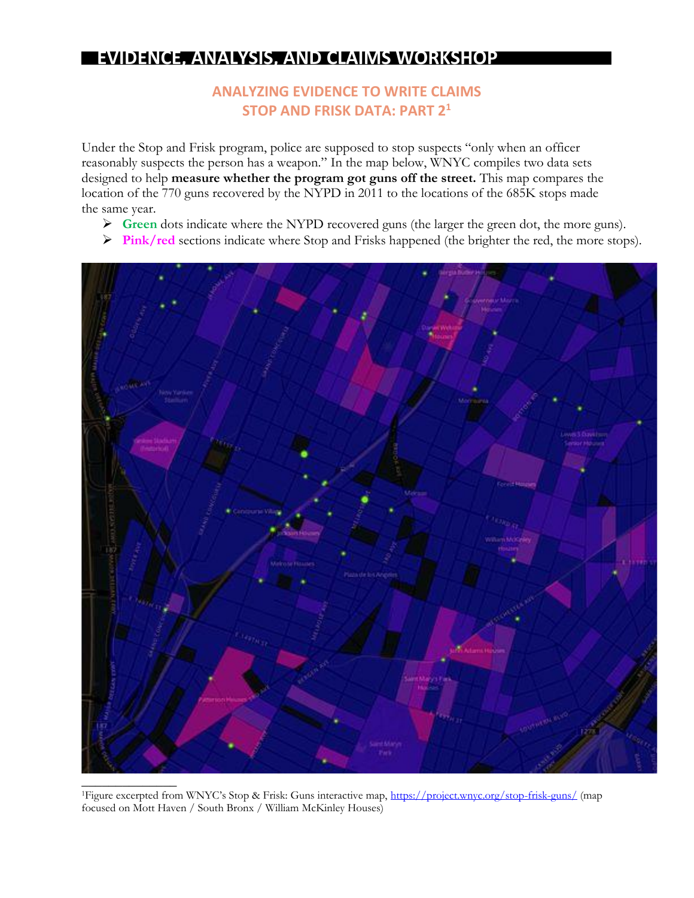## **ANALYZING EVIDENCE TO WRITE CLAIMS STOP AND FRISK DATA: PART 2<sup>1</sup>**

Under the Stop and Frisk program, police are supposed to stop suspects "only when an officer reasonably suspects the person has a weapon." In the map below, WNYC compiles two data sets designed to help **measure whether the program got guns off the street.** This map compares the location of the 770 guns recovered by the NYPD in 2011 to the locations of the 685K stops made the same year.

- ➢ **Green** dots indicate where the NYPD recovered guns (the larger the green dot, the more guns).
- ➢ **Pink/red** sections indicate where Stop and Frisks happened (the brighter the red, the more stops).



<sup>1</sup>Figure excerpted from WNYC's Stop & Frisk: Guns interactive map, <https://project.wnyc.org/stop-frisk-guns/> (map focused on Mott Haven / South Bronx / William McKinley Houses)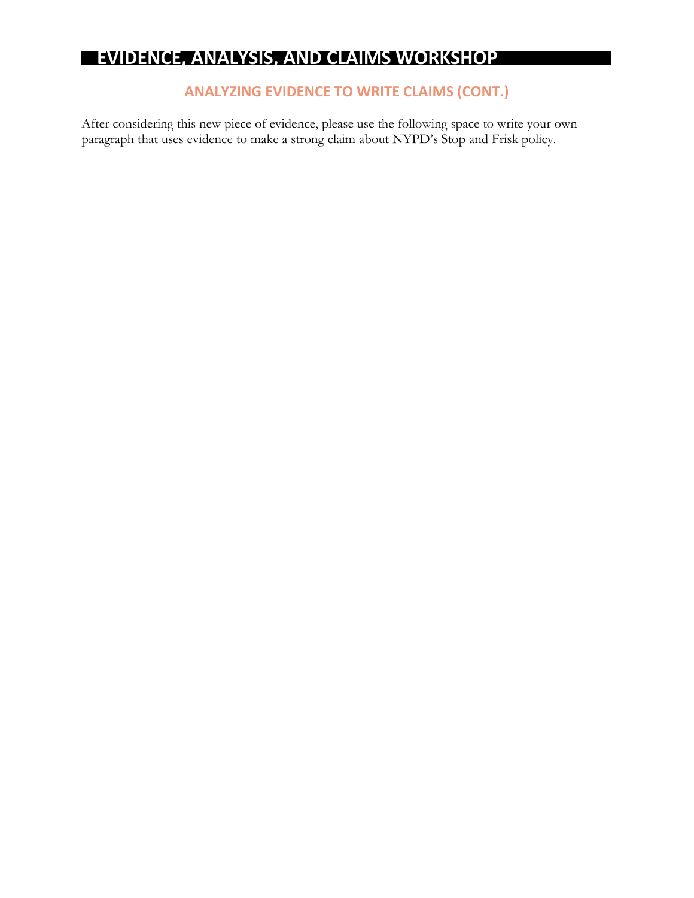I

### **ANALYZING EVIDENCE TO WRITE CLAIMS (CONT.)**

After considering this new piece of evidence, please use the following space to write your own paragraph that uses evidence to make a strong claim about NYPD's Stop and Frisk policy.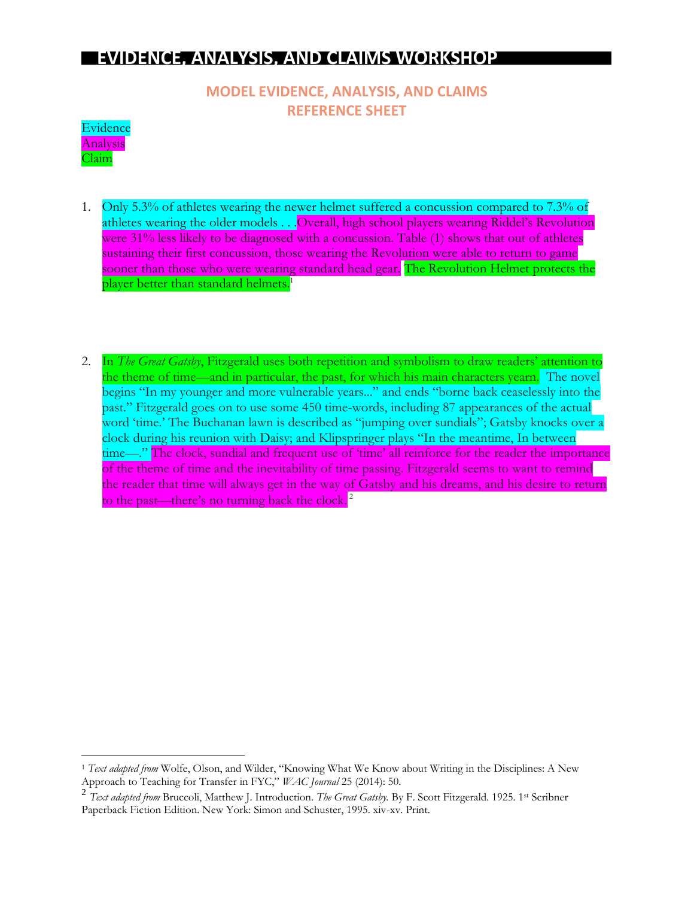**MODEL EVIDENCE, ANALYSIS, AND CLAIMS REFERENCE SHEET**



 $\overline{a}$ 

- 1. Only 5.3% of athletes wearing the newer helmet suffered a concussion compared to 7.3% of athletes wearing the older models . . Overall, high school players wearing Riddel's Revolution were 31% less likely to be diagnosed with a concussion. Table (1) shows that out of athletes sustaining their first concussion, those wearing the Revolution were able to return to game sooner than those who were wearing standard head gear. The Revolution Helmet protects the player better than standard helmets.<sup>1</sup>
- 2. In *The Great Gatsby*, Fitzgerald uses both repetition and symbolism to draw readers' attention to the theme of time—and in particular, the past, for which his main characters yearn. The novel begins "In my younger and more vulnerable years..." and ends "borne back ceaselessly into the past." Fitzgerald goes on to use some 450 time-words, including 87 appearances of the actual word 'time.' The Buchanan lawn is described as "jumping over sundials"; Gatsby knocks over a clock during his reunion with Daisy; and Klipspringer plays "In the meantime, In between time—." The clock, sundial and frequent use of 'time' all reinforce for the reader the importance of the theme of time and the inevitability of time passing. Fitzgerald seems to want to remind the reader that time will always get in the way of Gatsby and his dreams, and his desire to return to the past—there's no turning back the clock.<sup>2</sup>

<sup>1</sup> *Text adapted from* Wolfe, Olson, and Wilder, "Knowing What We Know about Writing in the Disciplines: A New Approach to Teaching for Transfer in FYC," *WAC Journal* 25 (2014): 50.

<sup>2</sup> *Text adapted from* Bruccoli, Matthew J. Introduction. *The Great Gatsby.* By F. Scott Fitzgerald. 1925. 1st Scribner Paperback Fiction Edition. New York: Simon and Schuster, 1995. xiv-xv. Print.